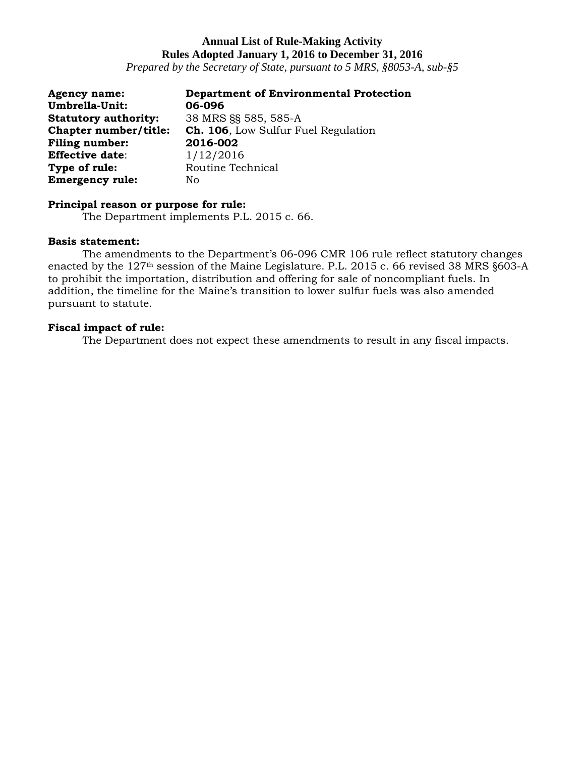*Prepared by the Secretary of State, pursuant to 5 MRS, §8053-A, sub-§5*

| <b>Agency name:</b>         | <b>Department of Environmental Protection</b> |
|-----------------------------|-----------------------------------------------|
| Umbrella-Unit:              | 06-096                                        |
| <b>Statutory authority:</b> | 38 MRS §§ 585, 585-A                          |
| Chapter number/title:       | Ch. 106, Low Sulfur Fuel Regulation           |
| <b>Filing number:</b>       | 2016-002                                      |
| <b>Effective date:</b>      | 1/12/2016                                     |
| Type of rule:               | Routine Technical                             |
| <b>Emergency rule:</b>      | No                                            |

### **Principal reason or purpose for rule:**

The Department implements P.L. 2015 c. 66.

### **Basis statement:**

The amendments to the Department's 06-096 CMR 106 rule reflect statutory changes enacted by the 127th session of the Maine Legislature. P.L. 2015 c. 66 revised 38 MRS §603-A to prohibit the importation, distribution and offering for sale of noncompliant fuels. In addition, the timeline for the Maine's transition to lower sulfur fuels was also amended pursuant to statute.

## **Fiscal impact of rule:**

The Department does not expect these amendments to result in any fiscal impacts.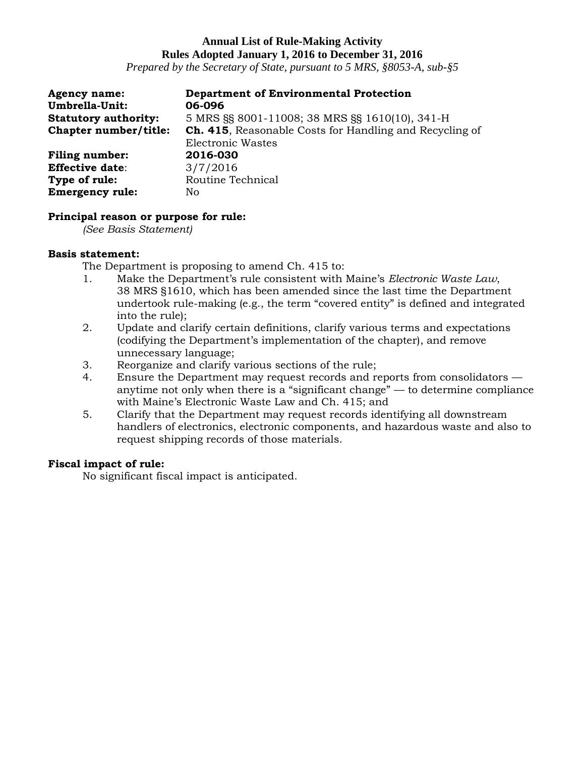*Prepared by the Secretary of State, pursuant to 5 MRS, §8053-A, sub-§5*

| <b>Agency name:</b>         | <b>Department of Environmental Protection</b>                   |
|-----------------------------|-----------------------------------------------------------------|
| Umbrella-Unit:              | 06-096                                                          |
| <b>Statutory authority:</b> | 5 MRS §§ 8001-11008; 38 MRS §§ 1610(10), 341-H                  |
| Chapter number/title:       | <b>Ch. 415</b> , Reasonable Costs for Handling and Recycling of |
|                             | Electronic Wastes                                               |
| <b>Filing number:</b>       | 2016-030                                                        |
| <b>Effective date:</b>      | 3/7/2016                                                        |
| Type of rule:               | Routine Technical                                               |
| <b>Emergency rule:</b>      | No                                                              |

### **Principal reason or purpose for rule:**

*(See Basis Statement)*

### **Basis statement:**

The Department is proposing to amend Ch. 415 to:

- 1. Make the Department's rule consistent with Maine's *Electronic Waste Law*, 38 MRS §1610, which has been amended since the last time the Department undertook rule-making (e.g., the term "covered entity" is defined and integrated into the rule);
- 2. Update and clarify certain definitions, clarify various terms and expectations (codifying the Department's implementation of the chapter), and remove unnecessary language;
- 3. Reorganize and clarify various sections of the rule;
- 4. Ensure the Department may request records and reports from consolidators anytime not only when there is a "significant change" — to determine compliance with Maine's Electronic Waste Law and Ch. 415; and
- 5. Clarify that the Department may request records identifying all downstream handlers of electronics, electronic components, and hazardous waste and also to request shipping records of those materials.

### **Fiscal impact of rule:**

No significant fiscal impact is anticipated.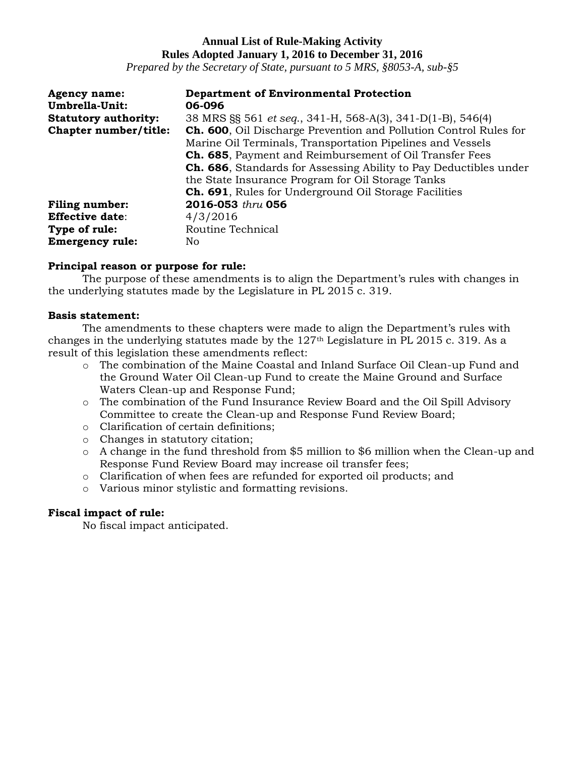*Prepared by the Secretary of State, pursuant to 5 MRS, §8053-A, sub-§5*

| <b>Agency name:</b>         | <b>Department of Environmental Protection</b>                             |
|-----------------------------|---------------------------------------------------------------------------|
| Umbrella-Unit:              | 06-096                                                                    |
| <b>Statutory authority:</b> | 38 MRS §§ 561 <i>et seq.</i> , 341-H, 568-A(3), 341-D(1-B), 546(4)        |
| Chapter number/title:       | <b>Ch. 600</b> , Oil Discharge Prevention and Pollution Control Rules for |
|                             | Marine Oil Terminals, Transportation Pipelines and Vessels                |
|                             | <b>Ch. 685</b> , Payment and Reimbursement of Oil Transfer Fees           |
|                             | <b>Ch. 686</b> , Standards for Assessing Ability to Pay Deductibles under |
|                             | the State Insurance Program for Oil Storage Tanks                         |
|                             | <b>Ch. 691</b> , Rules for Underground Oil Storage Facilities             |
| <b>Filing number:</b>       | 2016-053 thru 056                                                         |
| <b>Effective date:</b>      | 4/3/2016                                                                  |
| Type of rule:               | Routine Technical                                                         |
| <b>Emergency rule:</b>      | No                                                                        |

### **Principal reason or purpose for rule:**

The purpose of these amendments is to align the Department's rules with changes in the underlying statutes made by the Legislature in PL 2015 c. 319.

### **Basis statement:**

The amendments to these chapters were made to align the Department's rules with changes in the underlying statutes made by the 127th Legislature in PL 2015 c. 319. As a result of this legislation these amendments reflect:

- o The combination of the Maine Coastal and Inland Surface Oil Clean-up Fund and the Ground Water Oil Clean-up Fund to create the Maine Ground and Surface Waters Clean-up and Response Fund;
- o The combination of the Fund Insurance Review Board and the Oil Spill Advisory Committee to create the Clean-up and Response Fund Review Board;
- o Clarification of certain definitions;
- o Changes in statutory citation;
- o A change in the fund threshold from \$5 million to \$6 million when the Clean-up and Response Fund Review Board may increase oil transfer fees;
- o Clarification of when fees are refunded for exported oil products; and
- o Various minor stylistic and formatting revisions.

## **Fiscal impact of rule:**

No fiscal impact anticipated.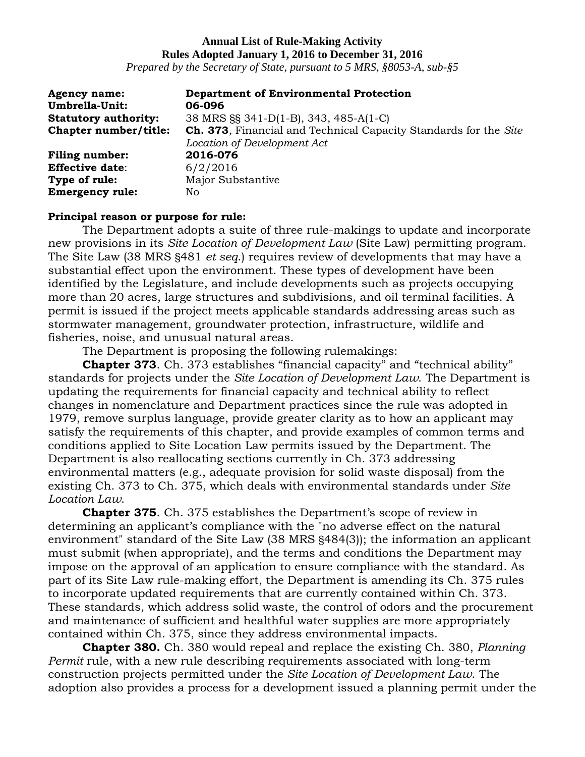*Prepared by the Secretary of State, pursuant to 5 MRS, §8053-A, sub-§5*

| <b>Agency name:</b>         | <b>Department of Environmental Protection</b>                    |
|-----------------------------|------------------------------------------------------------------|
| Umbrella-Unit:              | 06-096                                                           |
| <b>Statutory authority:</b> | 38 MRS §§ 341-D(1-B), 343, 485-A(1-C)                            |
| Chapter number/title:       | Ch. 373, Financial and Technical Capacity Standards for the Site |
|                             | Location of Development Act                                      |
| <b>Filing number:</b>       | 2016-076                                                         |
| <b>Effective date:</b>      | 6/2/2016                                                         |
| Type of rule:               | Major Substantive                                                |
| <b>Emergency rule:</b>      | No.                                                              |

### **Principal reason or purpose for rule:**

The Department adopts a suite of three rule-makings to update and incorporate new provisions in its *Site Location of Development Law* (Site Law) permitting program. The Site Law (38 MRS §481 *et seq*.) requires review of developments that may have a substantial effect upon the environment. These types of development have been identified by the Legislature, and include developments such as projects occupying more than 20 acres, large structures and subdivisions, and oil terminal facilities. A permit is issued if the project meets applicable standards addressing areas such as stormwater management, groundwater protection, infrastructure, wildlife and fisheries, noise, and unusual natural areas.

The Department is proposing the following rulemakings:

**Chapter 373**. Ch. 373 establishes "financial capacity" and "technical ability" standards for projects under the *Site Location of Development Law*. The Department is updating the requirements for financial capacity and technical ability to reflect changes in nomenclature and Department practices since the rule was adopted in 1979, remove surplus language, provide greater clarity as to how an applicant may satisfy the requirements of this chapter, and provide examples of common terms and conditions applied to Site Location Law permits issued by the Department. The Department is also reallocating sections currently in Ch. 373 addressing environmental matters (e.g., adequate provision for solid waste disposal) from the existing Ch. 373 to Ch. 375, which deals with environmental standards under *Site Location Law*.

**Chapter 375**. Ch. 375 establishes the Department's scope of review in determining an applicant's compliance with the "no adverse effect on the natural environment" standard of the Site Law (38 MRS §484(3)); the information an applicant must submit (when appropriate), and the terms and conditions the Department may impose on the approval of an application to ensure compliance with the standard. As part of its Site Law rule-making effort, the Department is amending its Ch. 375 rules to incorporate updated requirements that are currently contained within Ch. 373. These standards, which address solid waste, the control of odors and the procurement and maintenance of sufficient and healthful water supplies are more appropriately contained within Ch. 375, since they address environmental impacts.

**Chapter 380.** Ch. 380 would repeal and replace the existing Ch. 380, *Planning Permit* rule, with a new rule describing requirements associated with long-term construction projects permitted under the *Site Location of Development Law*. The adoption also provides a process for a development issued a planning permit under the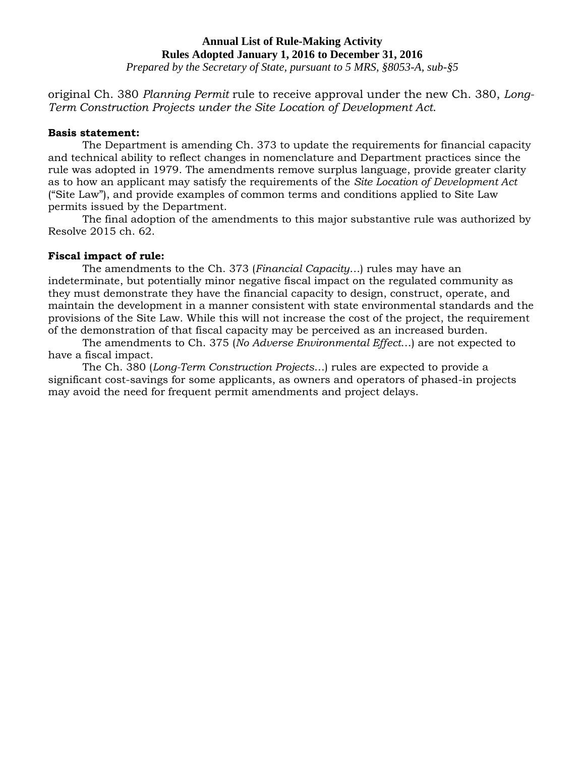*Prepared by the Secretary of State, pursuant to 5 MRS, §8053-A, sub-§5*

original Ch. 380 *Planning Permit* rule to receive approval under the new Ch. 380, *Long-Term Construction Projects under the Site Location of Development Act*.

### **Basis statement:**

The Department is amending Ch. 373 to update the requirements for financial capacity and technical ability to reflect changes in nomenclature and Department practices since the rule was adopted in 1979. The amendments remove surplus language, provide greater clarity as to how an applicant may satisfy the requirements of the *Site Location of Development Act* ("Site Law"), and provide examples of common terms and conditions applied to Site Law permits issued by the Department.

The final adoption of the amendments to this major substantive rule was authorized by Resolve 2015 ch. 62.

## **Fiscal impact of rule:**

The amendments to the Ch. 373 (*Financial Capacity*…) rules may have an indeterminate, but potentially minor negative fiscal impact on the regulated community as they must demonstrate they have the financial capacity to design, construct, operate, and maintain the development in a manner consistent with state environmental standards and the provisions of the Site Law. While this will not increase the cost of the project, the requirement of the demonstration of that fiscal capacity may be perceived as an increased burden.

The amendments to Ch. 375 (*No Adverse Environmental Effect*…) are not expected to have a fiscal impact.

The Ch. 380 (*Long-Term Construction Projects*…) rules are expected to provide a significant cost-savings for some applicants, as owners and operators of phased-in projects may avoid the need for frequent permit amendments and project delays.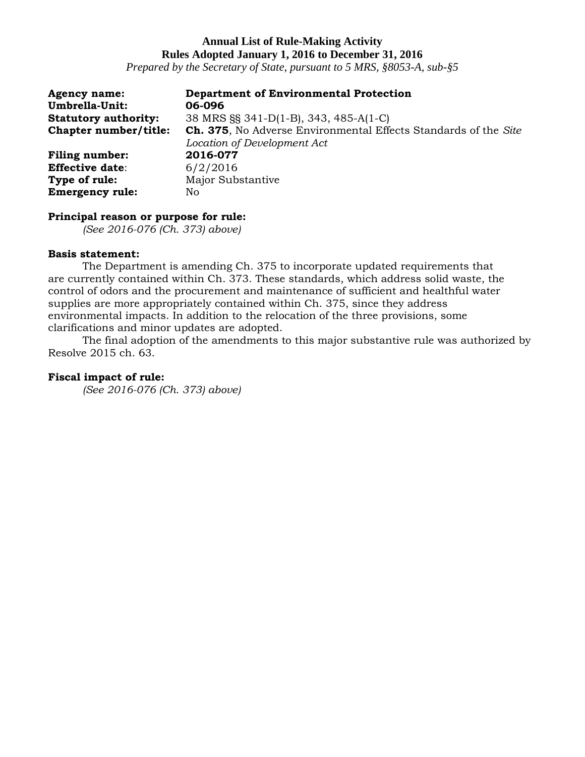*Prepared by the Secretary of State, pursuant to 5 MRS, §8053-A, sub-§5*

| <b>Agency name:</b>         | <b>Department of Environmental Protection</b>                   |
|-----------------------------|-----------------------------------------------------------------|
| Umbrella-Unit:              | 06-096                                                          |
| <b>Statutory authority:</b> | 38 MRS §§ 341-D(1-B), 343, 485-A(1-C)                           |
| Chapter number/title:       | Ch. 375, No Adverse Environmental Effects Standards of the Site |
|                             | Location of Development Act                                     |
| <b>Filing number:</b>       | 2016-077                                                        |
| <b>Effective date:</b>      | 6/2/2016                                                        |
| Type of rule:               | Major Substantive                                               |
| <b>Emergency rule:</b>      | No.                                                             |

#### **Principal reason or purpose for rule:**

*(See 2016-076 (Ch. 373) above)*

### **Basis statement:**

The Department is amending Ch. 375 to incorporate updated requirements that are currently contained within Ch. 373. These standards, which address solid waste, the control of odors and the procurement and maintenance of sufficient and healthful water supplies are more appropriately contained within Ch. 375, since they address environmental impacts. In addition to the relocation of the three provisions, some clarifications and minor updates are adopted.

The final adoption of the amendments to this major substantive rule was authorized by Resolve 2015 ch. 63.

#### **Fiscal impact of rule:**

*(See 2016-076 (Ch. 373) above)*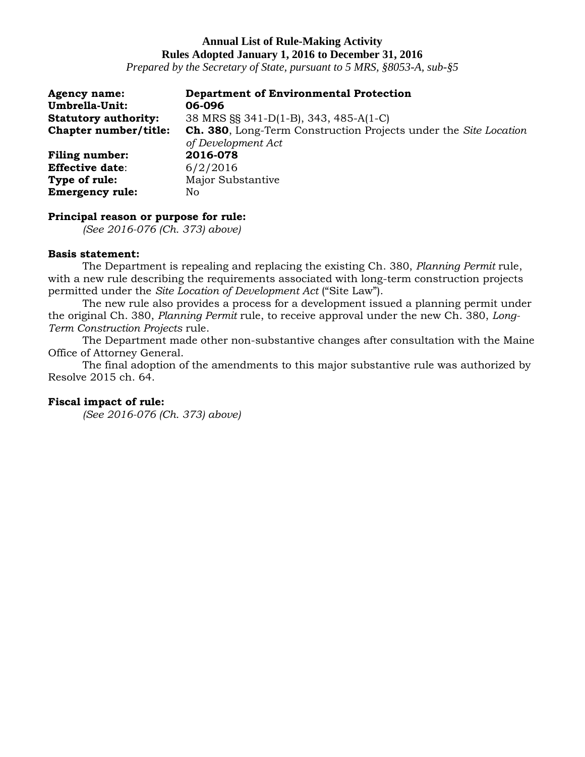*Prepared by the Secretary of State, pursuant to 5 MRS, §8053-A, sub-§5*

| <b>Agency name:</b>         | <b>Department of Environmental Protection</b>                            |
|-----------------------------|--------------------------------------------------------------------------|
| Umbrella-Unit:              | 06-096                                                                   |
| <b>Statutory authority:</b> | 38 MRS §§ 341-D(1-B), 343, 485-A(1-C)                                    |
| Chapter number/title:       | <b>Ch. 380</b> , Long-Term Construction Projects under the Site Location |
|                             | of Development Act                                                       |
| <b>Filing number:</b>       | 2016-078                                                                 |
| <b>Effective date:</b>      | 6/2/2016                                                                 |
| Type of rule:               | Major Substantive                                                        |
| <b>Emergency rule:</b>      | No                                                                       |

#### **Principal reason or purpose for rule:**

*(See 2016-076 (Ch. 373) above)*

#### **Basis statement:**

The Department is repealing and replacing the existing Ch. 380, *Planning Permit* rule, with a new rule describing the requirements associated with long-term construction projects permitted under the *Site Location of Development Act* ("Site Law").

The new rule also provides a process for a development issued a planning permit under the original Ch. 380, *Planning Permit* rule, to receive approval under the new Ch. 380, *Long-Term Construction Projects* rule.

The Department made other non-substantive changes after consultation with the Maine Office of Attorney General.

The final adoption of the amendments to this major substantive rule was authorized by Resolve 2015 ch. 64.

### **Fiscal impact of rule:**

*(See 2016-076 (Ch. 373) above)*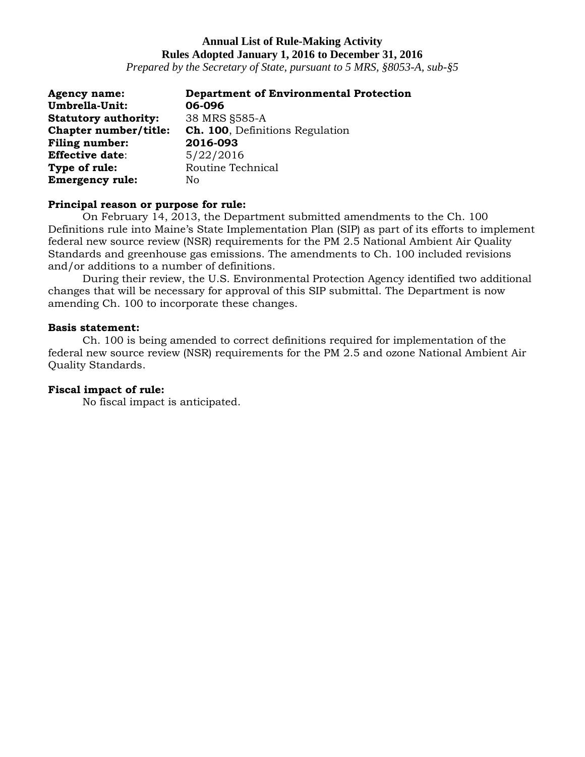*Prepared by the Secretary of State, pursuant to 5 MRS, §8053-A, sub-§5*

| <b>Agency name:</b>         | <b>Department of Environmental Protection</b> |
|-----------------------------|-----------------------------------------------|
| Umbrella-Unit:              | 06-096                                        |
| <b>Statutory authority:</b> | 38 MRS §585-A                                 |
| Chapter number/title:       | <b>Ch. 100</b> , Definitions Regulation       |
| <b>Filing number:</b>       | 2016-093                                      |
| <b>Effective date:</b>      | 5/22/2016                                     |
| Type of rule:               | Routine Technical                             |
| <b>Emergency rule:</b>      | No                                            |

### **Principal reason or purpose for rule:**

On February 14, 2013, the Department submitted amendments to the Ch. 100 Definitions rule into Maine's State Implementation Plan (SIP) as part of its efforts to implement federal new source review (NSR) requirements for the PM 2.5 National Ambient Air Quality Standards and greenhouse gas emissions. The amendments to Ch. 100 included revisions and/or additions to a number of definitions.

During their review, the U.S. Environmental Protection Agency identified two additional changes that will be necessary for approval of this SIP submittal. The Department is now amending Ch. 100 to incorporate these changes.

### **Basis statement:**

Ch. 100 is being amended to correct definitions required for implementation of the federal new source review (NSR) requirements for the PM 2.5 and ozone National Ambient Air Quality Standards.

### **Fiscal impact of rule:**

No fiscal impact is anticipated.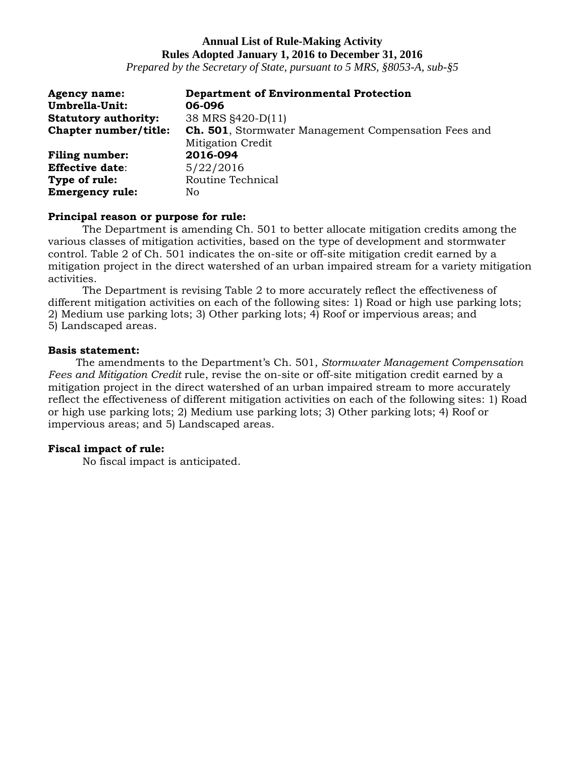*Prepared by the Secretary of State, pursuant to 5 MRS, §8053-A, sub-§5*

| <b>Agency name:</b>         | <b>Department of Environmental Protection</b>                |
|-----------------------------|--------------------------------------------------------------|
| Umbrella-Unit:              | 06-096                                                       |
| <b>Statutory authority:</b> | 38 MRS §420-D(11)                                            |
| Chapter number/title:       | <b>Ch. 501</b> , Stormwater Management Compensation Fees and |
|                             | <b>Mitigation Credit</b>                                     |
| <b>Filing number:</b>       | 2016-094                                                     |
| <b>Effective date:</b>      | 5/22/2016                                                    |
| Type of rule:               | Routine Technical                                            |
| <b>Emergency rule:</b>      | No                                                           |

### **Principal reason or purpose for rule:**

The Department is amending Ch. 501 to better allocate mitigation credits among the various classes of mitigation activities, based on the type of development and stormwater control. Table 2 of Ch. 501 indicates the on-site or off-site mitigation credit earned by a mitigation project in the direct watershed of an urban impaired stream for a variety mitigation activities.

The Department is revising Table 2 to more accurately reflect the effectiveness of different mitigation activities on each of the following sites: 1) Road or high use parking lots; 2) Medium use parking lots; 3) Other parking lots; 4) Roof or impervious areas; and 5) Landscaped areas.

### **Basis statement:**

The amendments to the Department's Ch. 501, *Stormwater Management Compensation Fees and Mitigation Credit* rule, revise the on-site or off-site mitigation credit earned by a mitigation project in the direct watershed of an urban impaired stream to more accurately reflect the effectiveness of different mitigation activities on each of the following sites: 1) Road or high use parking lots; 2) Medium use parking lots; 3) Other parking lots; 4) Roof or impervious areas; and 5) Landscaped areas.

## **Fiscal impact of rule:**

No fiscal impact is anticipated.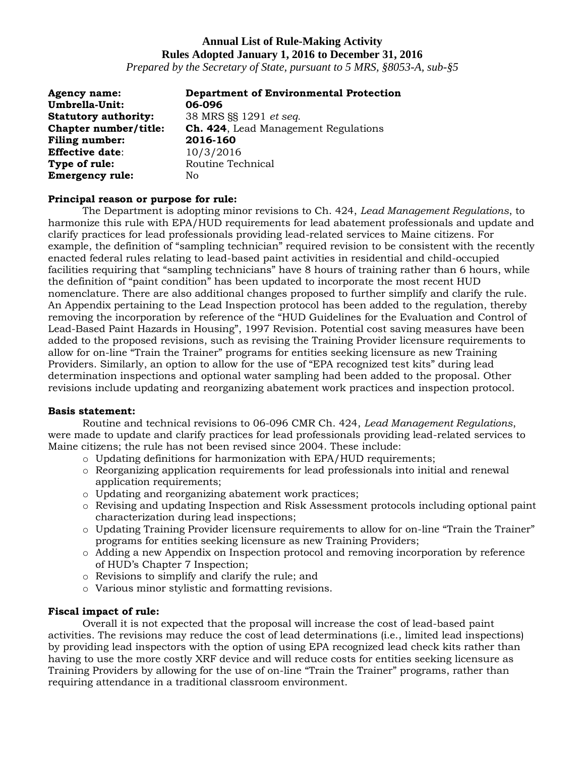*Prepared by the Secretary of State, pursuant to 5 MRS, §8053-A, sub-§5*

| <b>Agency name:</b>         | <b>Department of Environmental Protection</b> |
|-----------------------------|-----------------------------------------------|
| Umbrella-Unit:              | 06-096                                        |
| <b>Statutory authority:</b> | 38 MRS §§ 1291 et seq.                        |
| Chapter number/title:       | <b>Ch. 424, Lead Management Regulations</b>   |
| <b>Filing number:</b>       | 2016-160                                      |
| <b>Effective date:</b>      | 10/3/2016                                     |
| Type of rule:               | Routine Technical                             |
| <b>Emergency rule:</b>      | Nο                                            |

#### **Principal reason or purpose for rule:**

The Department is adopting minor revisions to Ch. 424, *Lead Management Regulations*, to harmonize this rule with EPA/HUD requirements for lead abatement professionals and update and clarify practices for lead professionals providing lead-related services to Maine citizens. For example, the definition of "sampling technician" required revision to be consistent with the recently enacted federal rules relating to lead-based paint activities in residential and child-occupied facilities requiring that "sampling technicians" have 8 hours of training rather than 6 hours, while the definition of "paint condition" has been updated to incorporate the most recent HUD nomenclature. There are also additional changes proposed to further simplify and clarify the rule. An Appendix pertaining to the Lead Inspection protocol has been added to the regulation, thereby removing the incorporation by reference of the "HUD Guidelines for the Evaluation and Control of Lead-Based Paint Hazards in Housing", 1997 Revision. Potential cost saving measures have been added to the proposed revisions, such as revising the Training Provider licensure requirements to allow for on-line "Train the Trainer" programs for entities seeking licensure as new Training Providers. Similarly, an option to allow for the use of "EPA recognized test kits" during lead determination inspections and optional water sampling had been added to the proposal. Other revisions include updating and reorganizing abatement work practices and inspection protocol.

#### **Basis statement:**

Routine and technical revisions to 06-096 CMR Ch. 424, *Lead Management Regulations*, were made to update and clarify practices for lead professionals providing lead-related services to Maine citizens; the rule has not been revised since 2004. These include:

- o Updating definitions for harmonization with EPA/HUD requirements;
- o Reorganizing application requirements for lead professionals into initial and renewal application requirements;
- o Updating and reorganizing abatement work practices;
- o Revising and updating Inspection and Risk Assessment protocols including optional paint characterization during lead inspections;
- $\circ$  Updating Training Provider licensure requirements to allow for on-line "Train the Trainer" programs for entities seeking licensure as new Training Providers;
- o Adding a new Appendix on Inspection protocol and removing incorporation by reference of HUD's Chapter 7 Inspection;
- o Revisions to simplify and clarify the rule; and
- o Various minor stylistic and formatting revisions.

### **Fiscal impact of rule:**

Overall it is not expected that the proposal will increase the cost of lead-based paint activities. The revisions may reduce the cost of lead determinations (i.e., limited lead inspections) by providing lead inspectors with the option of using EPA recognized lead check kits rather than having to use the more costly XRF device and will reduce costs for entities seeking licensure as Training Providers by allowing for the use of on-line "Train the Trainer" programs, rather than requiring attendance in a traditional classroom environment.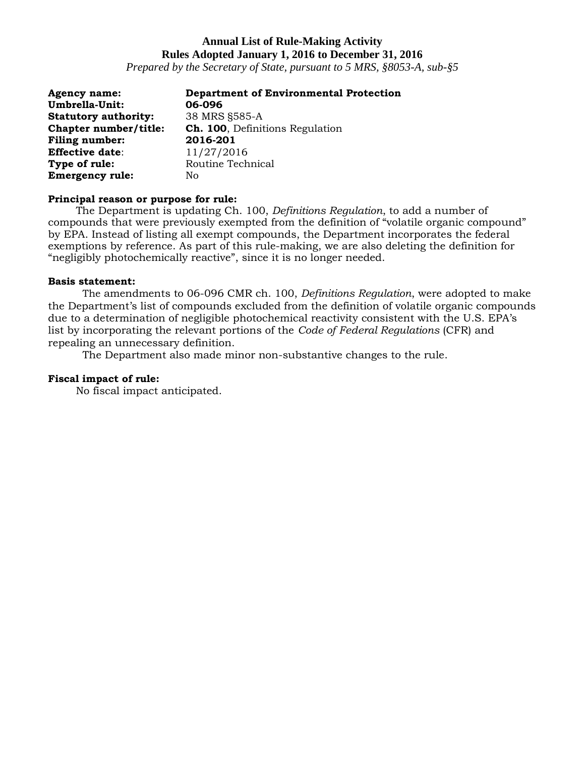*Prepared by the Secretary of State, pursuant to 5 MRS, §8053-A, sub-§5*

| Agency name:                | <b>Department of Environmental Protection</b> |
|-----------------------------|-----------------------------------------------|
| Umbrella-Unit:              | 06-096                                        |
| <b>Statutory authority:</b> | 38 MRS §585-A                                 |
| Chapter number/title:       | <b>Ch. 100</b> , Definitions Regulation       |
| <b>Filing number:</b>       | 2016-201                                      |
| <b>Effective date:</b>      | 11/27/2016                                    |
| Type of rule:               | Routine Technical                             |
| <b>Emergency rule:</b>      | Nο                                            |

### **Principal reason or purpose for rule:**

The Department is updating Ch. 100, *Definitions Regulation*, to add a number of compounds that were previously exempted from the definition of "volatile organic compound" by EPA. Instead of listing all exempt compounds, the Department incorporates the federal exemptions by reference. As part of this rule-making, we are also deleting the definition for "negligibly photochemically reactive", since it is no longer needed.

#### **Basis statement:**

The amendments to 06-096 CMR ch. 100, *Definitions Regulation*, were adopted to make the Department's list of compounds excluded from the definition of volatile organic compounds due to a determination of negligible photochemical reactivity consistent with the U.S. EPA's list by incorporating the relevant portions of the *Code of Federal Regulations* (CFR) and repealing an unnecessary definition.

The Department also made minor non-substantive changes to the rule.

#### **Fiscal impact of rule:**

No fiscal impact anticipated.